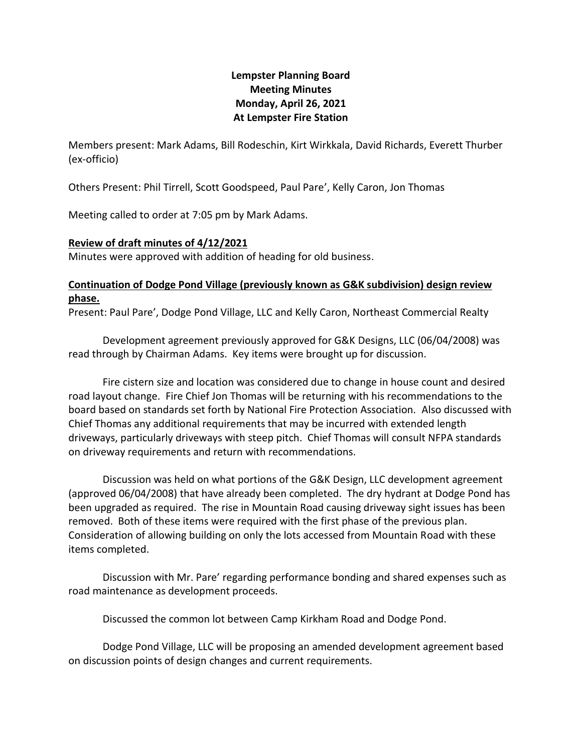## **Lempster Planning Board Meeting Minutes Monday, April 26, 2021 At Lempster Fire Station**

Members present: Mark Adams, Bill Rodeschin, Kirt Wirkkala, David Richards, Everett Thurber (ex-officio)

Others Present: Phil Tirrell, Scott Goodspeed, Paul Pare', Kelly Caron, Jon Thomas

Meeting called to order at 7:05 pm by Mark Adams.

## **Review of draft minutes of 4/12/2021**

Minutes were approved with addition of heading for old business.

## **Continuation of Dodge Pond Village (previously known as G&K subdivision) design review phase.**

Present: Paul Pare', Dodge Pond Village, LLC and Kelly Caron, Northeast Commercial Realty

Development agreement previously approved for G&K Designs, LLC (06/04/2008) was read through by Chairman Adams. Key items were brought up for discussion.

Fire cistern size and location was considered due to change in house count and desired road layout change. Fire Chief Jon Thomas will be returning with his recommendations to the board based on standards set forth by National Fire Protection Association. Also discussed with Chief Thomas any additional requirements that may be incurred with extended length driveways, particularly driveways with steep pitch. Chief Thomas will consult NFPA standards on driveway requirements and return with recommendations.

Discussion was held on what portions of the G&K Design, LLC development agreement (approved 06/04/2008) that have already been completed. The dry hydrant at Dodge Pond has been upgraded as required. The rise in Mountain Road causing driveway sight issues has been removed. Both of these items were required with the first phase of the previous plan. Consideration of allowing building on only the lots accessed from Mountain Road with these items completed.

Discussion with Mr. Pare' regarding performance bonding and shared expenses such as road maintenance as development proceeds.

Discussed the common lot between Camp Kirkham Road and Dodge Pond.

Dodge Pond Village, LLC will be proposing an amended development agreement based on discussion points of design changes and current requirements.